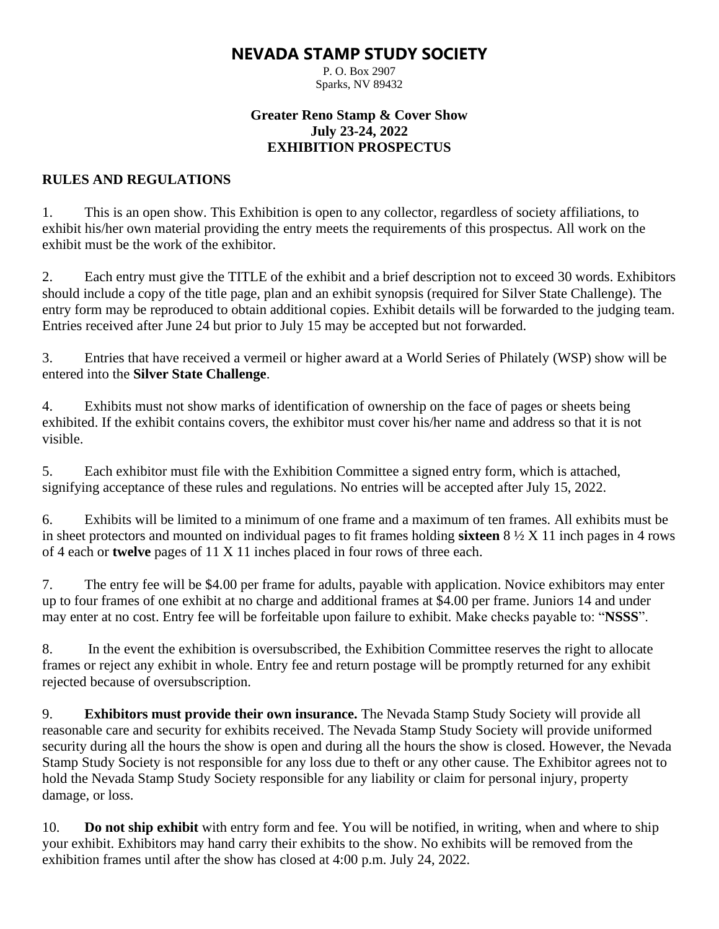# **NEVADA STAMP STUDY SOCIETY**

P. O. Box 2907 Sparks, NV 89432

# **Greater Reno Stamp & Cover Show July 23-24, 2022 EXHIBITION PROSPECTUS**

# **RULES AND REGULATIONS**

1. This is an open show. This Exhibition is open to any collector, regardless of society affiliations, to exhibit his/her own material providing the entry meets the requirements of this prospectus. All work on the exhibit must be the work of the exhibitor.

2. Each entry must give the TITLE of the exhibit and a brief description not to exceed 30 words. Exhibitors should include a copy of the title page, plan and an exhibit synopsis (required for Silver State Challenge). The entry form may be reproduced to obtain additional copies. Exhibit details will be forwarded to the judging team. Entries received after June 24 but prior to July 15 may be accepted but not forwarded.

3. Entries that have received a vermeil or higher award at a World Series of Philately (WSP) show will be entered into the **Silver State Challenge**.

4. Exhibits must not show marks of identification of ownership on the face of pages or sheets being exhibited. If the exhibit contains covers, the exhibitor must cover his/her name and address so that it is not visible.

5. Each exhibitor must file with the Exhibition Committee a signed entry form, which is attached, signifying acceptance of these rules and regulations. No entries will be accepted after July 15, 2022.

6. Exhibits will be limited to a minimum of one frame and a maximum of ten frames. All exhibits must be in sheet protectors and mounted on individual pages to fit frames holding **sixteen** 8 ½ X 11 inch pages in 4 rows of 4 each or **twelve** pages of 11 X 11 inches placed in four rows of three each.

7. The entry fee will be \$4.00 per frame for adults, payable with application. Novice exhibitors may enter up to four frames of one exhibit at no charge and additional frames at \$4.00 per frame. Juniors 14 and under may enter at no cost. Entry fee will be forfeitable upon failure to exhibit. Make checks payable to: "**NSSS**".

8. In the event the exhibition is oversubscribed, the Exhibition Committee reserves the right to allocate frames or reject any exhibit in whole. Entry fee and return postage will be promptly returned for any exhibit rejected because of oversubscription.

9. **Exhibitors must provide their own insurance.** The Nevada Stamp Study Society will provide all reasonable care and security for exhibits received. The Nevada Stamp Study Society will provide uniformed security during all the hours the show is open and during all the hours the show is closed. However, the Nevada Stamp Study Society is not responsible for any loss due to theft or any other cause. The Exhibitor agrees not to hold the Nevada Stamp Study Society responsible for any liability or claim for personal injury, property damage, or loss.

10. **Do not ship exhibit** with entry form and fee. You will be notified, in writing, when and where to ship your exhibit. Exhibitors may hand carry their exhibits to the show. No exhibits will be removed from the exhibition frames until after the show has closed at 4:00 p.m. July 24, 2022.